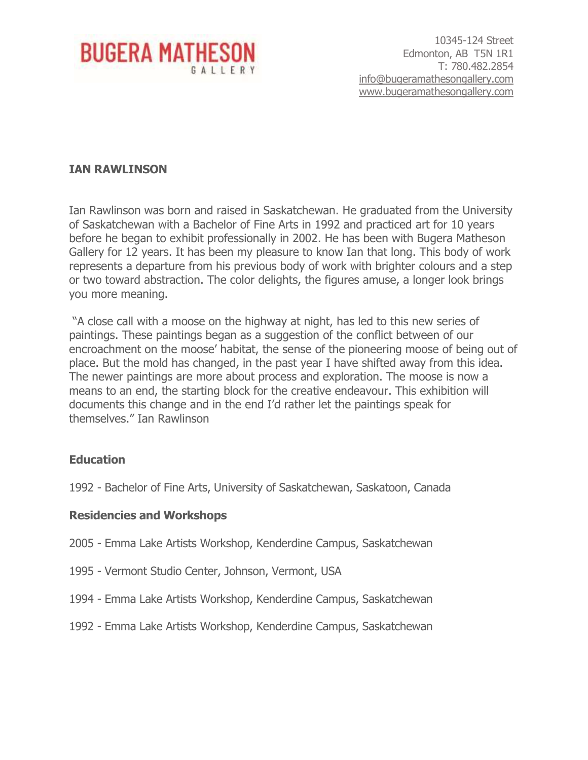

10345-124 Street Edmonton, AB T5N 1R1 T: 780.482.2854 [info@bugeramathesongallery.com](mailto:info@bugeramathesongallery.com) [www.bugeramathesongallery.com](http://www.bugeramathesongallery.com/)

#### **IAN RAWLINSON**

Ian Rawlinson was born and raised in Saskatchewan. He graduated from the University of Saskatchewan with a Bachelor of Fine Arts in 1992 and practiced art for 10 years before he began to exhibit professionally in 2002. He has been with Bugera Matheson Gallery for 12 years. It has been my pleasure to know Ian that long. This body of work represents a departure from his previous body of work with brighter colours and a step or two toward abstraction. The color delights, the figures amuse, a longer look brings you more meaning.

"A close call with a moose on the highway at night, has led to this new series of paintings. These paintings began as a suggestion of the conflict between of our encroachment on the moose' habitat, the sense of the pioneering moose of being out of place. But the mold has changed, in the past year I have shifted away from this idea. The newer paintings are more about process and exploration. The moose is now a means to an end, the starting block for the creative endeavour. This exhibition will documents this change and in the end I'd rather let the paintings speak for themselves." Ian Rawlinson

# **Education**

1992 - Bachelor of Fine Arts, University of Saskatchewan, Saskatoon, Canada

#### **Residencies and Workshops**

- 2005 Emma Lake Artists Workshop, Kenderdine Campus, Saskatchewan
- 1995 Vermont Studio Center, Johnson, Vermont, USA
- 1994 Emma Lake Artists Workshop, Kenderdine Campus, Saskatchewan
- 1992 Emma Lake Artists Workshop, Kenderdine Campus, Saskatchewan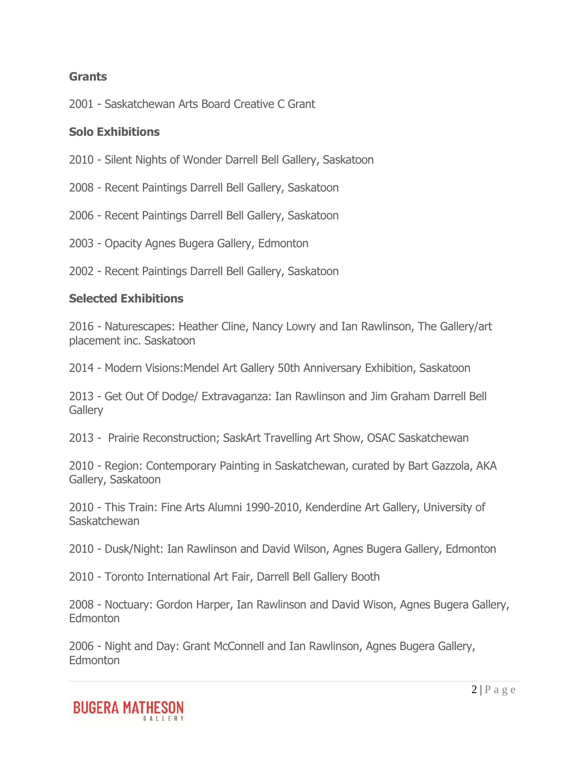## **Grants**

2001 - Saskatchewan Arts Board Creative C Grant

## **Solo Exhibitions**

- 2010 Silent Nights of Wonder Darrell Bell Gallery, Saskatoon
- 2008 Recent Paintings Darrell Bell Gallery, Saskatoon
- 2006 Recent Paintings Darrell Bell Gallery, Saskatoon
- 2003 Opacity Agnes Bugera Gallery, Edmonton
- 2002 Recent Paintings Darrell Bell Gallery, Saskatoon

## **Selected Exhibitions**

2016 - Naturescapes: Heather Cline, Nancy Lowry and Ian Rawlinson, The Gallery/art placement inc. Saskatoon

2014 - Modern Visions:Mendel Art Gallery 50th Anniversary Exhibition, Saskatoon

2013 - Get Out Of Dodge/ Extravaganza: Ian Rawlinson and Jim Graham Darrell Bell **Gallerv** 

2013 - Prairie Reconstruction; SaskArt Travelling Art Show, OSAC Saskatchewan

2010 - Region: Contemporary Painting in Saskatchewan, curated by Bart Gazzola, AKA Gallery, Saskatoon

2010 - This Train: Fine Arts Alumni 1990-2010, Kenderdine Art Gallery, University of **Saskatchewan** 

2010 - Dusk/Night: Ian Rawlinson and David Wilson, Agnes Bugera Gallery, Edmonton

2010 - Toronto International Art Fair, Darrell Bell Gallery Booth

2008 - Noctuary: Gordon Harper, Ian Rawlinson and David Wison, Agnes Bugera Gallery, **Edmonton** 

2006 - Night and Day: Grant McConnell and Ian Rawlinson, Agnes Bugera Gallery, **Edmonton** 

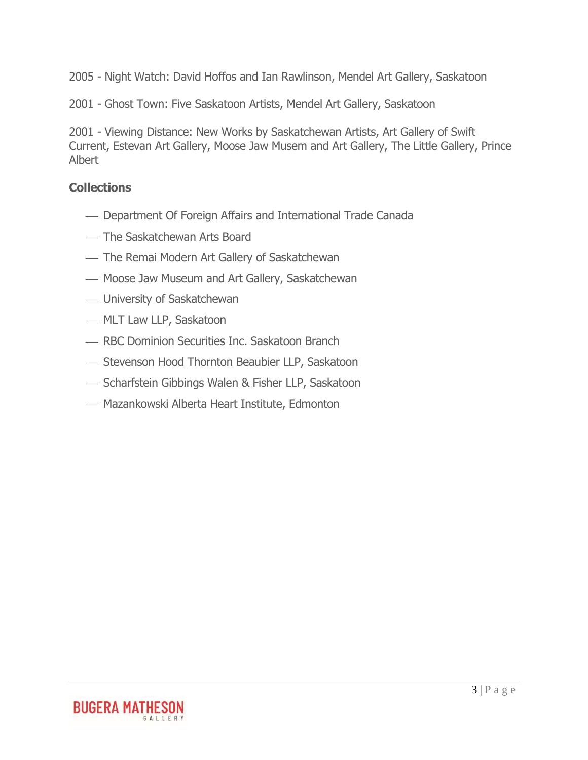2005 - Night Watch: David Hoffos and Ian Rawlinson, Mendel Art Gallery, Saskatoon

2001 - Ghost Town: Five Saskatoon Artists, Mendel Art Gallery, Saskatoon

2001 - Viewing Distance: New Works by Saskatchewan Artists, Art Gallery of Swift Current, Estevan Art Gallery, Moose Jaw Musem and Art Gallery, The Little Gallery, Prince Albert

# **Collections**

- Department Of Foreign Affairs and International Trade Canada
- The Saskatchewan Arts Board
- The Remai Modern Art Gallery of Saskatchewan
- Moose Jaw Museum and Art Gallery, Saskatchewan
- University of Saskatchewan
- MLT Law LLP, Saskatoon
- **RBC Dominion Securities Inc. Saskatoon Branch**
- ⎯ Stevenson Hood Thornton Beaubier LLP, Saskatoon
- ⎯ Scharfstein Gibbings Walen & Fisher LLP, Saskatoon
- Mazankowski Alberta Heart Institute, Edmonton